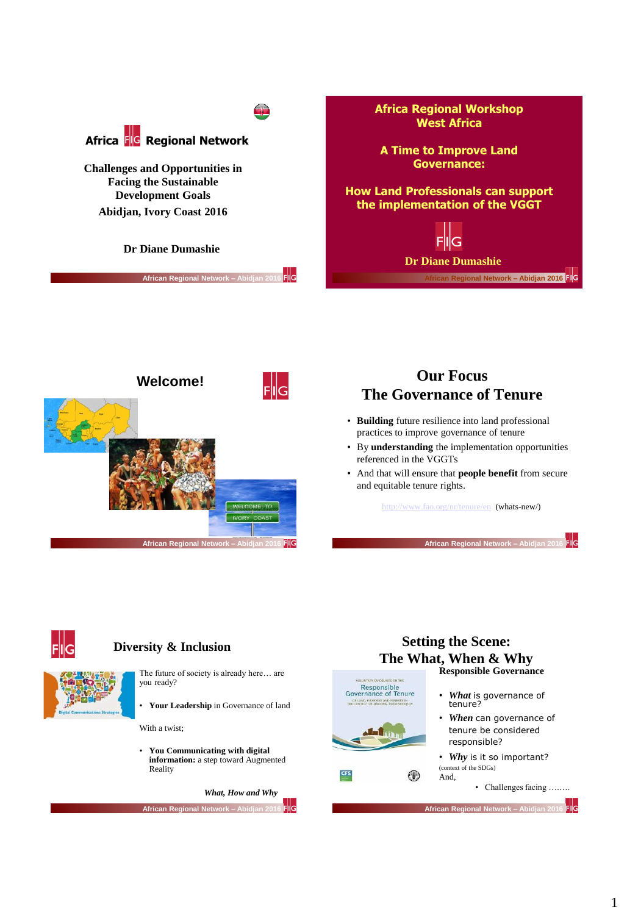



## **Our Focus The Governance of Tenure**

- **Building** future resilience into land professional practices to improve governance of tenure
- By **understanding** the implementation opportunities referenced in the VGGTs
- And that will ensure that **people benefit** from secure and equitable tenure rights.

<http://www.fao.org/nr/tenure/en>(whats-new/)

**African Regional Network - Abidja** 

FIG



#### **Diversity & Inclusion**

- The future of society is already here… are you ready?
- **Your Leadership** in Governance of land

With a twist;

• **You Communicating with digital information:** a step toward Augmented Reality



#### **Setting the Scene: The What, When & Why Responsible Governance**



 $\circledcirc$ 

- *What* is governance of tenure?
- *When* can governance of tenure be considered responsible?

• *Why* is it so important? (context of the SDGs) And,

• Challenges facing ….….

FIG **African Regional Network – Abidjan 2016**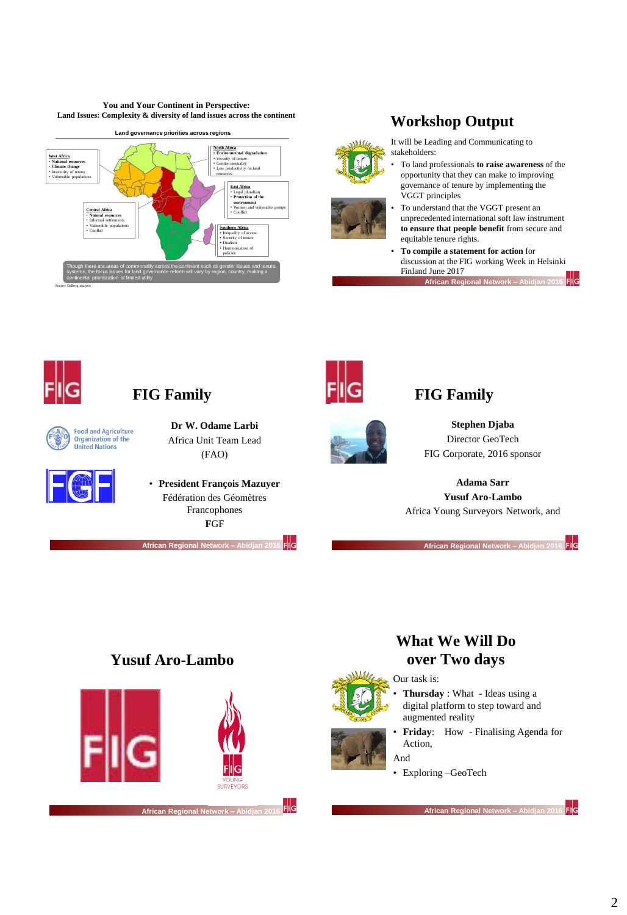**You and Your Continent in Perspective: Land Issues: Complexity & diversity of land issues across the continent**









- It will be Leading and Communicating to stakeholders:
- To land professionals **to raise awareness** of the opportunity that they can make to improving governance of tenure by implementing the VGGT principles
- To understand that the VGGT present an unprecedented international soft law instrument **to ensure that people benefit** from secure and equitable tenure rights.
- **To compile a statement for action** for discussion at the FIG working Week in Helsinki Finland June 2017 **African Regional Network – Abidjan 2016**



# **FIG Family**





#### **Dr W. Odame Larbi** Africa Unit Team Lead (FAO)

• **President François Mazuyer** Fédération des Géomètres Francophones **F**GF

**African Regional Network – Abidjan 2016** 





## **FIG Family**

**Stephen Djaba** Director GeoTech FIG Corporate, 2016 sponsor

**Adama Sarr Yusuf Aro-Lambo** Africa Young Surveyors Network, and

**African Regional Network - Abi** 

FIG

## **Yusuf Aro-Lambo**



# **What We Will Do over Two days**

• **Thursday** : What - Ideas using a digital platform to step toward and

• **Friday**: How - Finalising Agenda for

#### Our task is:

- And
	- Exploring –GeoTech

augmented reality

Action,

**African Regional Network – Abidjan 2016**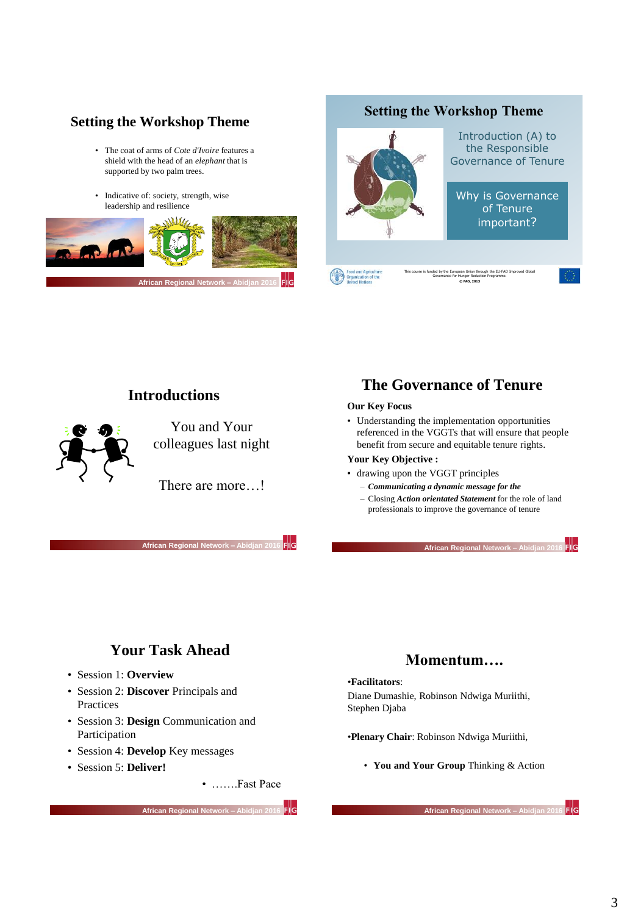### **Setting the Workshop Theme**

- The coat of arms of *Cote d'Ivoire* features a shield with the head of an *elephant* that is supported by two palm trees.
- Indicative of: society, strength, wise leadership and resilience



#### **Setting the Workshop Theme**



**© FAO, 2013**

### **Introductions**



**African Regional Network – Abidjan 2016** 

### **The Governance of Tenure**

#### **Our Key Focus**

• Understanding the implementation opportunities referenced in the VGGTs that will ensure that people benefit from secure and equitable tenure rights.

#### **Your Key Objective :**

- drawing upon the VGGT principles
	- *Communicating a dynamic message for the*
	- Closing *Action orientated Statement* for the role of land professionals to improve the governance of tenure

**African Regional Network – Abidjan 2016** 

## **Your Task Ahead**

- Session 1: **Overview**
- Session 2: **Discover** Principals and Practices
- Session 3: **Design** Communication and Participation
- Session 4: **Develop** Key messages
- Session 5: **Deliver!**
- …….Fast Pace

**African Regional Network – Abidjan 2016** 

# **Momentum….**

#### •**Facilitators**:

- Diane Dumashie, Robinson Ndwiga Muriithi, Stephen Djaba
- •**Plenary Chair**: Robinson Ndwiga Muriithi,
	- **You and Your Group** Thinking & Action

 $F|G$ **African Regional Network – Abid**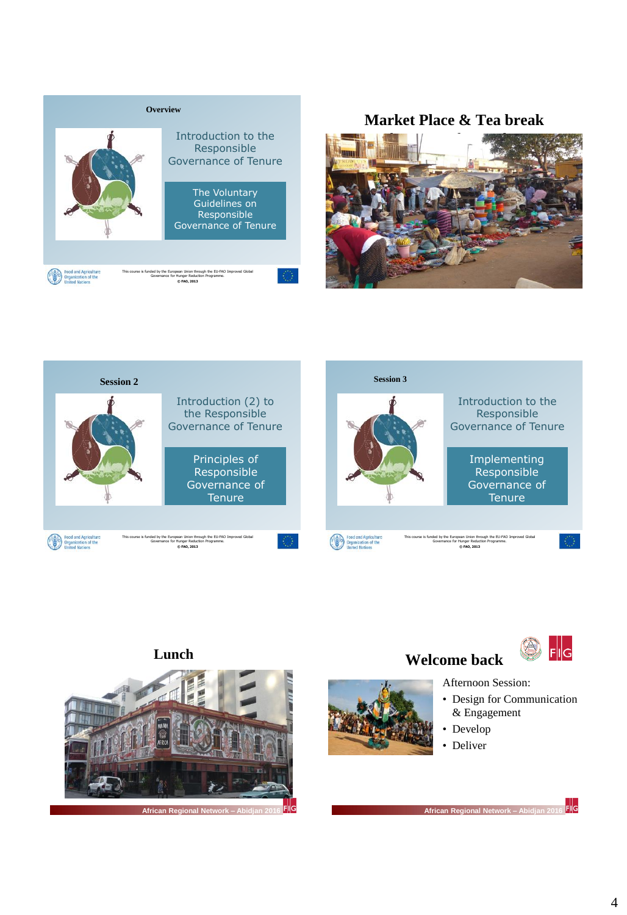

### **Market Place & Tea break**









**African Regional Network – Abidjan 2016** 





Afternoon Session:

- Design for Communication & Engagement
- Develop
- Deliver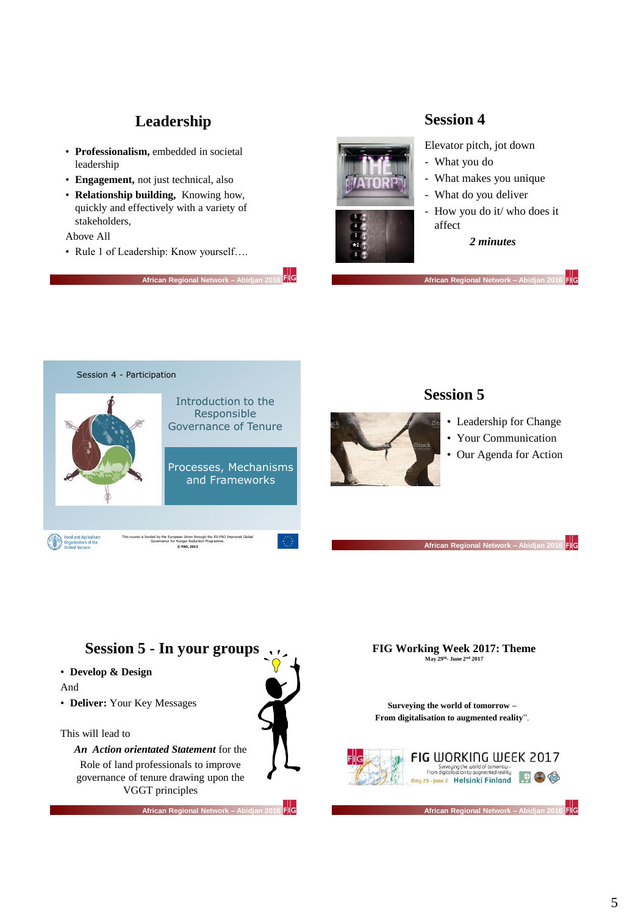# **Leadership**

- **Professionalism,** embedded in societal leadership
- **Engagement,** not just technical, also
- **Relationship building,** Knowing how, quickly and effectively with a variety of stakeholders,

#### Above All

• Rule 1 of Leadership: Know yourself….

**African Regional Network – A** 

FIIG



### **Session 4**

Elevator pitch, jot down

- What you do
- What makes you unique
- What do you deliver

**African Regional Network –** 

- How you do it/ who does it affect

#### *2 minutes*

 $\mathsf{FlG}$ 

Session 4 - Participation Introduction to the Responsible Governance of Tenure Processes, Mechanisms and Frameworks Food and Agriculture<br>Organization of the<br>United Nations This course is funded by the European Union through the EU-FAO Improved Global Governance for Hunger Reduction Programme. **© FAO, 2013**

## **Session 5**



- Leadership for Change
- Your Communication
- Our Agenda for Action

**African Regional Network – Abidjan 2016** 



**FIG Working Week 2017: Theme May 29th - June 2nd 2017**

**Surveying the world of tomorrow – From digitalisation to augmented reality**".



**African Regional Network – Abidjan 2016**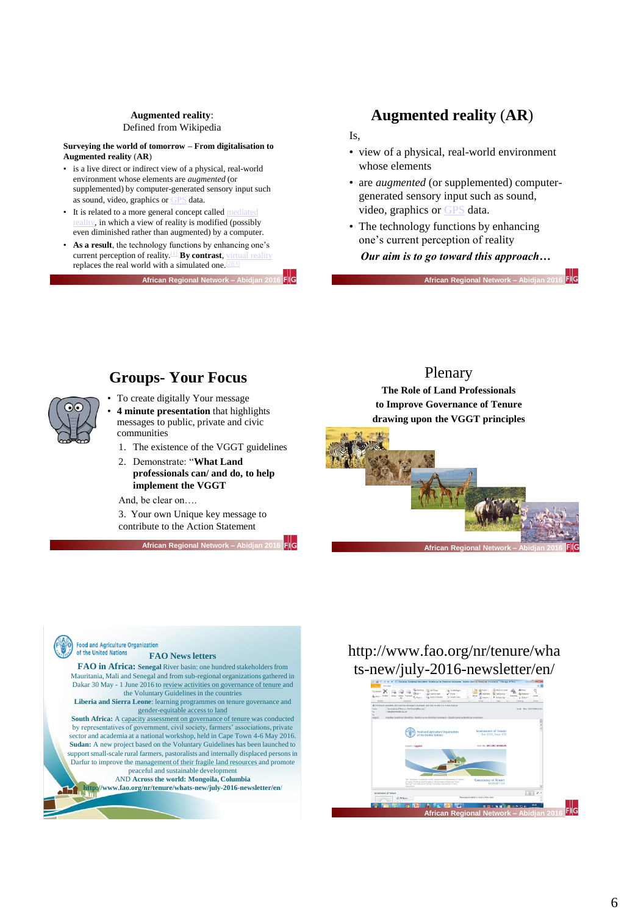#### **Augmented reality**: Defined from Wikipedia

**Surveying the world of tomorrow – From digitalisation to Augmented reality** (**AR**)

- is a live direct or indirect view of a physical, real-world environment whose elements are *augmented* (or supplemented) by computer-generated sensory input such as sound, video, graphics or [GPS](https://en.wikipedia.org/wiki/GPS) data.
- It is related to a more general concept called n  $\alpha$ , in which a view of reality is modified (possibly even diminished rather than augmented) by a computer.
- As a result, the technology functions by enhancing one's current perception of reality.<sup>[\[1\]](https://en.wikipedia.org/wiki/Augmented_reality#cite_note-1)</sup> By contrast, replaces the real world with a simulated one.

**African Regional N** 

### **Augmented reality** (**AR**)

Is,

- view of a physical, real-world environment whose elements
- are *augmented* (or supplemented) computergenerated sensory input such as sound, video, graphics or [GPS](https://en.wikipedia.org/wiki/GPS) data.
- The technology functions by enhancing one's current perception of reality

*Our aim is to go toward this approach…*

**African Regional Network - Abid** 

FIG

## **Groups- Your Focus**

- To create digitally Your message • **4 minute presentation** that highlights messages to public, private and civic communities
	- 1. The existence of the VGGT guidelines
	- 2. Demonstrate: "**What Land professionals can/ and do, to help implement the VGGT**

And, be clear on….

3. Your own Unique key message to contribute to the Action Statement

**African Regional Network - Abidjan 2** 

Filc

### Plenary

**The Role of Land Professionals to Improve Governance of Tenure drawing upon the VGGT principles**



#### **Food and Agriculture Organization** of the United Nations

#### **FAO News letters**

**FAO in Africa: Senegal** River basin: one hundred stakeholders from Mauritania, Mali and Senegal and from sub-regional organizations gathered in Dakar 30 May - 1 June 2016 to review activities on governance of tenure and the Voluntary Guidelines in the countries

**Liberia and Sierra Leone**: learning programmes on tenure governance and gender-equitable access to land

South Africa: A capacity assessment on governance of tenure was conducted by representatives of government, civil society, farmers' associations, private sector and academia at a national workshop, held in Cape Town 4-6 May 2016. Sudan: A new project based on the Voluntary Guidelines has been launched to support small-scale rural farmers, pastoralists and internally displaced persons in Darfur to improve the management of their fragile land resources and promote peaceful and sustainable development

#### AND **Across the world: Mongoila, Columbia**

**http://www.fao.org/nr/tenure/whats-new/july-2016-newsletter/en**/

## http://www.fao.org/nr/tenure/wha ts-new/july-2016-newsletter/en/